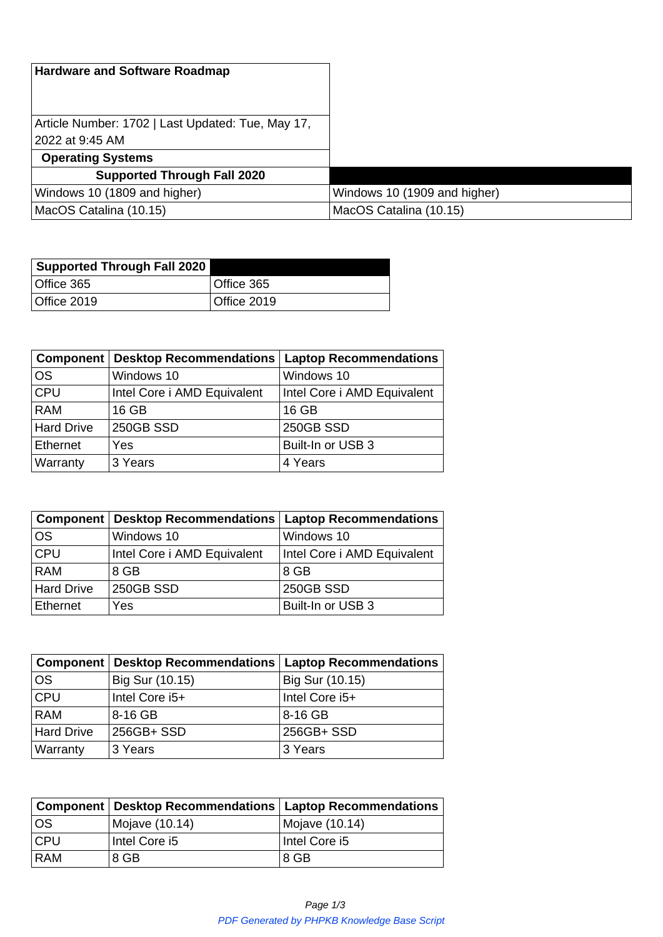| <b>Hardware and Software Roadmap</b>                                  |                              |
|-----------------------------------------------------------------------|------------------------------|
| Article Number: 1702   Last Updated: Tue, May 17,<br> 2022 at 9:45 AM |                              |
| <b>Operating Systems</b>                                              |                              |
| <b>Supported Through Fall 2020</b>                                    |                              |
| Windows 10 (1809 and higher)                                          | Windows 10 (1909 and higher) |
| MacOS Catalina (10.15)                                                | MacOS Catalina (10.15)       |

| <b>Supported Through Fall 2020</b> |             |
|------------------------------------|-------------|
| Office 365                         | Office 365  |
| Office 2019                        | Office 2019 |

| Component         | <b>Desktop Recommendations</b> | <b>Laptop Recommendations</b> |
|-------------------|--------------------------------|-------------------------------|
| <b>OS</b>         | Windows 10                     | Windows 10                    |
| CPU               | Intel Core i AMD Equivalent    | Intel Core i AMD Equivalent   |
| <b>RAM</b>        | 16 GB                          | 16 GB                         |
| <b>Hard Drive</b> | <b>250GB SSD</b>               | <b>250GB SSD</b>              |
| Ethernet          | Yes                            | Built-In or USB 3             |
| Warranty          | 3 Years                        | 4 Years                       |

|                   | <b>Component   Desktop Recommendations  </b> | <b>Laptop Recommendations</b> |
|-------------------|----------------------------------------------|-------------------------------|
| <b>OS</b>         | Windows 10                                   | Windows 10                    |
| <b>CPU</b>        | Intel Core i AMD Equivalent                  | Intel Core i AMD Equivalent   |
| <b>RAM</b>        | 8 GB                                         | 8 GB                          |
| <b>Hard Drive</b> | 250GB SSD                                    | <b>250GB SSD</b>              |
| Ethernet          | Yes                                          | Built-In or USB 3             |

|                   | Component   Desktop Recommendations   Laptop Recommendations |                 |
|-------------------|--------------------------------------------------------------|-----------------|
| <b>OS</b>         | Big Sur (10.15)                                              | Big Sur (10.15) |
| CPU               | Intel Core i5+                                               | Intel Core i5+  |
| <b>RAM</b>        | 8-16 GB                                                      | 8-16 GB         |
| <b>Hard Drive</b> | 256GB+ SSD                                                   | 256GB+ SSD      |
| Warranty          | 3 Years                                                      | 3 Years         |

|            | Component   Desktop Recommendations   Laptop Recommendations |                |
|------------|--------------------------------------------------------------|----------------|
| los        | Mojave (10.14)                                               | Mojave (10.14) |
| <b>CPU</b> | Intel Core i5                                                | Intel Core i5  |
| <b>RAM</b> | 8 GB                                                         | 8 GB           |